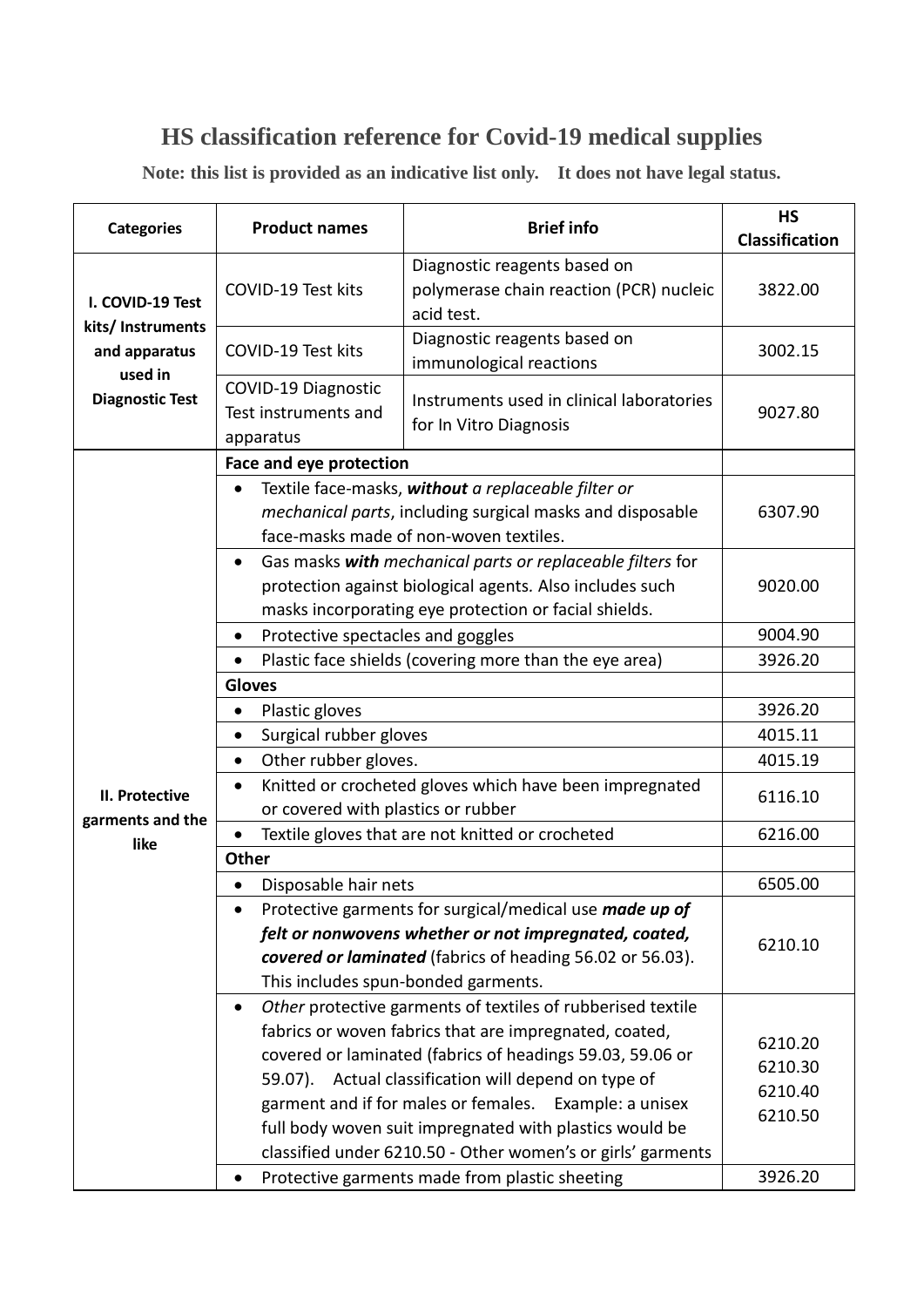## **HS classification reference for Covid-19 medical supplies**

**Note: this list is provided as an indicative list only. It does not have legal status.**

| <b>Categories</b>                                                                           | <b>Product names</b>                                                                                                                                                            | <b>Brief info</b>                                                                     | <b>HS</b><br><b>Classification</b> |
|---------------------------------------------------------------------------------------------|---------------------------------------------------------------------------------------------------------------------------------------------------------------------------------|---------------------------------------------------------------------------------------|------------------------------------|
| I. COVID-19 Test<br>kits/ Instruments<br>and apparatus<br>used in<br><b>Diagnostic Test</b> | COVID-19 Test kits                                                                                                                                                              | Diagnostic reagents based on<br>polymerase chain reaction (PCR) nucleic<br>acid test. | 3822.00                            |
|                                                                                             | COVID-19 Test kits                                                                                                                                                              | Diagnostic reagents based on<br>immunological reactions                               | 3002.15                            |
|                                                                                             | <b>COVID-19 Diagnostic</b><br>Test instruments and<br>apparatus                                                                                                                 | Instruments used in clinical laboratories<br>for In Vitro Diagnosis                   | 9027.80                            |
|                                                                                             | Face and eye protection                                                                                                                                                         |                                                                                       |                                    |
|                                                                                             | Textile face-masks, without a replaceable filter or<br>mechanical parts, including surgical masks and disposable<br>face-masks made of non-woven textiles.                      |                                                                                       | 6307.90                            |
|                                                                                             | Gas masks with mechanical parts or replaceable filters for<br>protection against biological agents. Also includes such<br>masks incorporating eye protection or facial shields. |                                                                                       | 9020.00                            |
|                                                                                             | Protective spectacles and goggles<br>$\bullet$                                                                                                                                  |                                                                                       | 9004.90                            |
|                                                                                             | Plastic face shields (covering more than the eye area)<br>$\bullet$                                                                                                             |                                                                                       | 3926.20                            |
|                                                                                             | <b>Gloves</b>                                                                                                                                                                   |                                                                                       |                                    |
|                                                                                             | Plastic gloves<br>$\bullet$                                                                                                                                                     |                                                                                       | 3926.20                            |
|                                                                                             | Surgical rubber gloves<br>$\bullet$                                                                                                                                             |                                                                                       | 4015.11                            |
|                                                                                             | Other rubber gloves.<br>$\bullet$                                                                                                                                               |                                                                                       | 4015.19                            |
| II. Protective<br>garments and the<br>like                                                  | Knitted or crocheted gloves which have been impregnated<br>$\bullet$<br>or covered with plastics or rubber                                                                      |                                                                                       | 6116.10                            |
|                                                                                             | Textile gloves that are not knitted or crocheted                                                                                                                                |                                                                                       | 6216.00                            |
|                                                                                             | Other                                                                                                                                                                           |                                                                                       |                                    |
|                                                                                             | Disposable hair nets                                                                                                                                                            |                                                                                       | 6505.00                            |
|                                                                                             | Protective garments for surgical/medical use made up of                                                                                                                         |                                                                                       |                                    |
|                                                                                             | felt or nonwovens whether or not impregnated, coated,                                                                                                                           |                                                                                       | 6210.10                            |
|                                                                                             | covered or laminated (fabrics of heading 56.02 or 56.03).                                                                                                                       |                                                                                       |                                    |
|                                                                                             | This includes spun-bonded garments.                                                                                                                                             |                                                                                       |                                    |
|                                                                                             | Other protective garments of textiles of rubberised textile<br>$\bullet$                                                                                                        |                                                                                       |                                    |
|                                                                                             | fabrics or woven fabrics that are impregnated, coated,                                                                                                                          |                                                                                       | 6210.20                            |
|                                                                                             | covered or laminated (fabrics of headings 59.03, 59.06 or                                                                                                                       |                                                                                       | 6210.30                            |
|                                                                                             | 59.07). Actual classification will depend on type of<br>garment and if for males or females. Example: a unisex                                                                  |                                                                                       | 6210.40                            |
|                                                                                             |                                                                                                                                                                                 | full body woven suit impregnated with plastics would be                               | 6210.50                            |
|                                                                                             |                                                                                                                                                                                 | classified under 6210.50 - Other women's or girls' garments                           |                                    |
|                                                                                             |                                                                                                                                                                                 | Protective garments made from plastic sheeting                                        | 3926.20                            |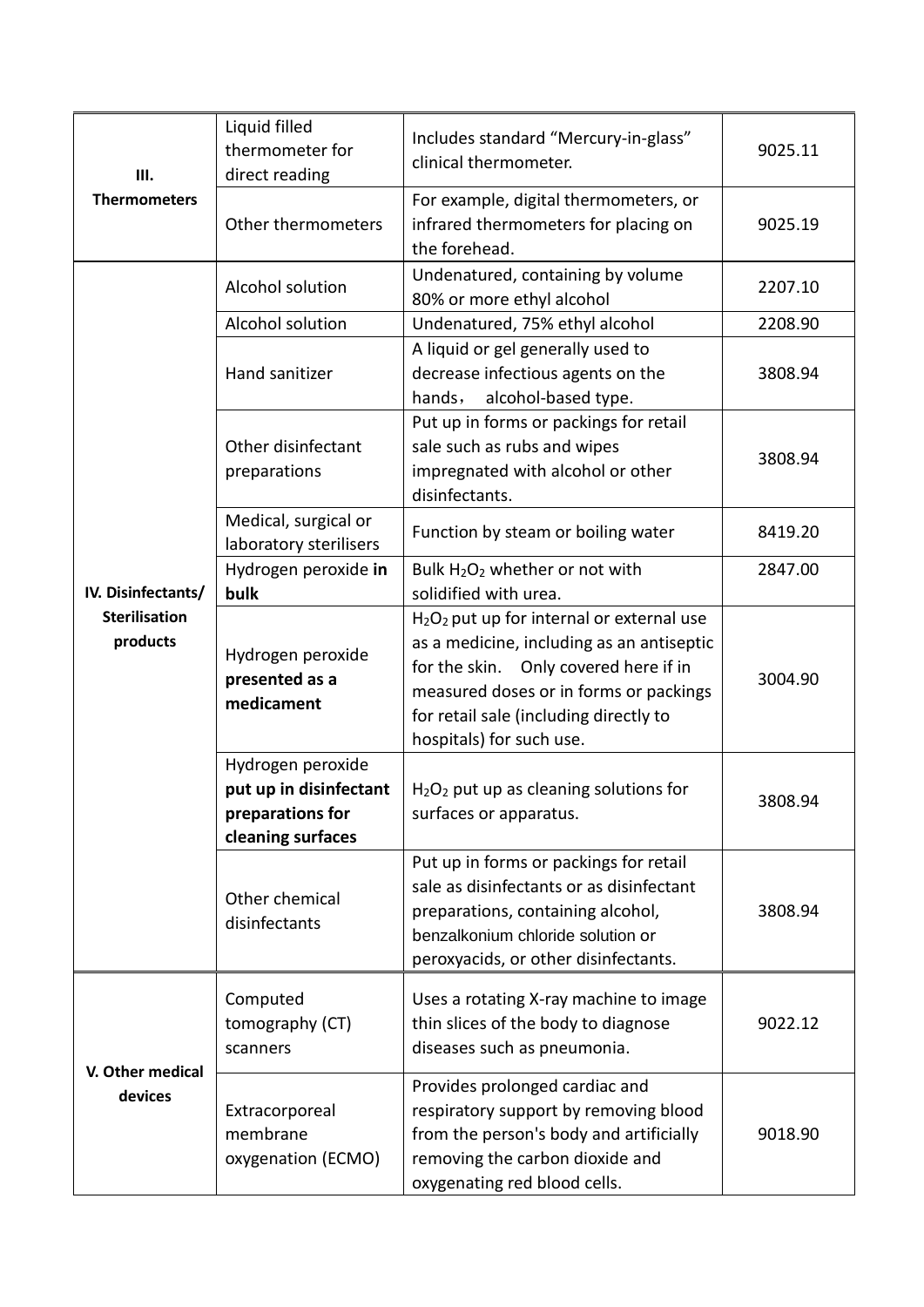| Ш.<br><b>Thermometers</b>                              | Liquid filled<br>thermometer for<br>direct reading                                   | Includes standard "Mercury-in-glass"<br>clinical thermometer.                                                                                                                                                                                                           | 9025.11 |
|--------------------------------------------------------|--------------------------------------------------------------------------------------|-------------------------------------------------------------------------------------------------------------------------------------------------------------------------------------------------------------------------------------------------------------------------|---------|
|                                                        | Other thermometers                                                                   | For example, digital thermometers, or<br>infrared thermometers for placing on<br>the forehead.                                                                                                                                                                          | 9025.19 |
|                                                        | Alcohol solution                                                                     | Undenatured, containing by volume<br>80% or more ethyl alcohol                                                                                                                                                                                                          | 2207.10 |
|                                                        | Alcohol solution                                                                     | Undenatured, 75% ethyl alcohol                                                                                                                                                                                                                                          | 2208.90 |
| IV. Disinfectants/<br><b>Sterilisation</b><br>products | Hand sanitizer                                                                       | A liquid or gel generally used to<br>decrease infectious agents on the<br>alcohol-based type.<br>hands,                                                                                                                                                                 | 3808.94 |
|                                                        | Other disinfectant<br>preparations                                                   | Put up in forms or packings for retail<br>sale such as rubs and wipes<br>impregnated with alcohol or other<br>disinfectants.                                                                                                                                            | 3808.94 |
|                                                        | Medical, surgical or<br>laboratory sterilisers                                       | Function by steam or boiling water                                                                                                                                                                                                                                      | 8419.20 |
|                                                        | Hydrogen peroxide in<br>bulk                                                         | Bulk H <sub>2</sub> O <sub>2</sub> whether or not with<br>solidified with urea.                                                                                                                                                                                         | 2847.00 |
|                                                        | Hydrogen peroxide<br>presented as a<br>medicament                                    | H <sub>2</sub> O <sub>2</sub> put up for internal or external use<br>as a medicine, including as an antiseptic<br>for the skin. Only covered here if in<br>measured doses or in forms or packings<br>for retail sale (including directly to<br>hospitals) for such use. | 3004.90 |
|                                                        | Hydrogen peroxide<br>put up in disinfectant<br>preparations for<br>cleaning surfaces | $H2O2$ put up as cleaning solutions for<br>surfaces or apparatus.                                                                                                                                                                                                       | 3808.94 |
|                                                        | Other chemical<br>disinfectants                                                      | Put up in forms or packings for retail<br>sale as disinfectants or as disinfectant<br>preparations, containing alcohol,<br>benzalkonium chloride solution or<br>peroxyacids, or other disinfectants.                                                                    | 3808.94 |
| V. Other medical<br>devices                            | Computed<br>tomography (CT)<br>scanners                                              | Uses a rotating X-ray machine to image<br>thin slices of the body to diagnose<br>diseases such as pneumonia.                                                                                                                                                            | 9022.12 |
|                                                        | Extracorporeal<br>membrane<br>oxygenation (ECMO)                                     | Provides prolonged cardiac and<br>respiratory support by removing blood<br>from the person's body and artificially<br>removing the carbon dioxide and<br>oxygenating red blood cells.                                                                                   | 9018.90 |